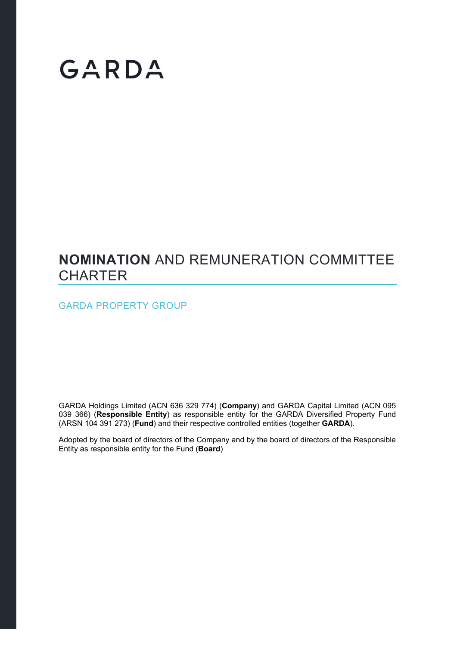# GARDA

### **NOMINATION** AND REMUNERATION COMMITTEE **CHARTER**

GARDA PROPERTY GROUP

GARDA Holdings Limited (ACN 636 329 774) (**Company**) and GARDA Capital Limited (ACN 095 039 366) (**Responsible Entity**) as responsible entity for the GARDA Diversified Property Fund (ARSN 104 391 273) (**Fund**) and their respective controlled entities (together **GARDA**).

Adopted by the board of directors of the Company and by the board of directors of the Responsible Entity as responsible entity for the Fund (**Board**)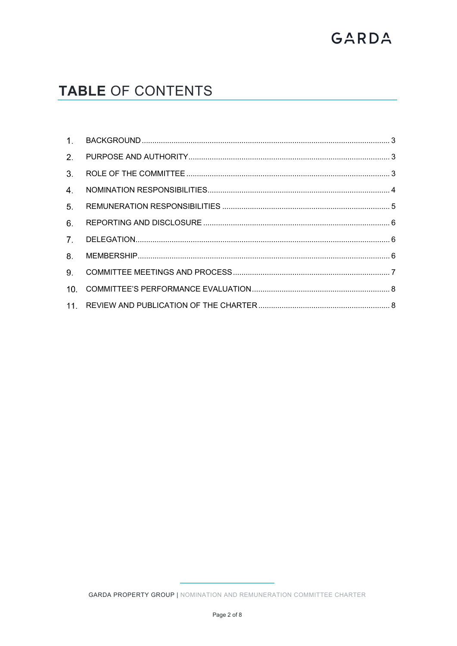## GARDA

### **TABLE OF CONTENTS**

| 3 <sub>1</sub> |  |
|----------------|--|
| 4.             |  |
| 5 <sub>1</sub> |  |
| 6.             |  |
|                |  |
| 8.             |  |
| 9.             |  |
| 10.            |  |
|                |  |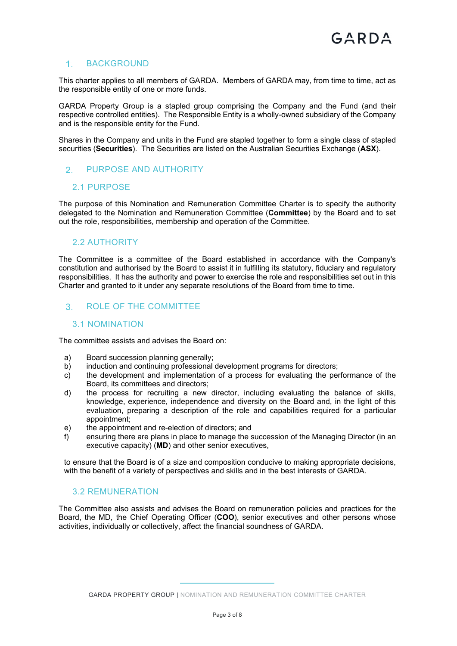#### 1. BACKGROUND

This charter applies to all members of GARDA. Members of GARDA may, from time to time, act as the responsible entity of one or more funds.

GARDA Property Group is a stapled group comprising the Company and the Fund (and their respective controlled entities). The Responsible Entity is a wholly-owned subsidiary of the Company and is the responsible entity for the Fund.

Shares in the Company and units in the Fund are stapled together to form a single class of stapled securities (**Securities**). The Securities are listed on the Australian Securities Exchange (**ASX**).

#### 2. PURPOSE AND AUTHORITY

#### 2.1 PURPOSE

The purpose of this Nomination and Remuneration Committee Charter is to specify the authority delegated to the Nomination and Remuneration Committee (**Committee**) by the Board and to set out the role, responsibilities, membership and operation of the Committee.

#### 2.2 AUTHORITY

The Committee is a committee of the Board established in accordance with the Company's constitution and authorised by the Board to assist it in fulfilling its statutory, fiduciary and regulatory responsibilities. It has the authority and power to exercise the role and responsibilities set out in this Charter and granted to it under any separate resolutions of the Board from time to time.

#### ROLE OF THE COMMITTEE

#### 3.1 NOMINATION

The committee assists and advises the Board on:

- a) Board succession planning generally;
- b) induction and continuing professional development programs for directors;
- c) the development and implementation of a process for evaluating the performance of the Board, its committees and directors;
- d) the process for recruiting a new director, including evaluating the balance of skills, knowledge, experience, independence and diversity on the Board and, in the light of this evaluation, preparing a description of the role and capabilities required for a particular appointment;
- e) the appointment and re-election of directors; and
- f) ensuring there are plans in place to manage the succession of the Managing Director (in an executive capacity) (**MD**) and other senior executives,

to ensure that the Board is of a size and composition conducive to making appropriate decisions, with the benefit of a variety of perspectives and skills and in the best interests of GARDA.

#### 3.2 REMUNERATION

The Committee also assists and advises the Board on remuneration policies and practices for the Board, the MD, the Chief Operating Officer (**COO**), senior executives and other persons whose activities, individually or collectively, affect the financial soundness of GARDA.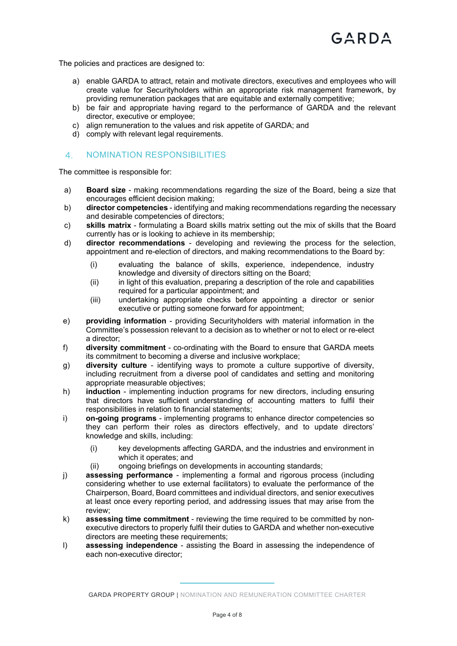The policies and practices are designed to:

- a) enable GARDA to attract, retain and motivate directors, executives and employees who will create value for Securityholders within an appropriate risk management framework, by providing remuneration packages that are equitable and externally competitive;
- b) be fair and appropriate having regard to the performance of GARDA and the relevant director, executive or employee;
- c) align remuneration to the values and risk appetite of GARDA; and
- d) comply with relevant legal requirements.

#### 4. NOMINATION RESPONSIBILITIES

The committee is responsible for:

- a) **Board size** making recommendations regarding the size of the Board, being a size that encourages efficient decision making;
- b) **director competencies** identifying and making recommendations regarding the necessary and desirable competencies of directors;
- c) **skills matrix** formulating a Board skills matrix setting out the mix of skills that the Board currently has or is looking to achieve in its membership;
- d) **director recommendations** developing and reviewing the process for the selection, appointment and re-election of directors, and making recommendations to the Board by:
	- (i) evaluating the balance of skills, experience, independence, industry knowledge and diversity of directors sitting on the Board;
	- (ii) in light of this evaluation, preparing a description of the role and capabilities required for a particular appointment; and
	- (iii) undertaking appropriate checks before appointing a director or senior executive or putting someone forward for appointment;
- e) **providing information** providing Securityholders with material information in the Committee's possession relevant to a decision as to whether or not to elect or re-elect a director;
- f) **diversity commitment** co-ordinating with the Board to ensure that GARDA meets its commitment to becoming a diverse and inclusive workplace;
- g) **diversity culture** identifying ways to promote a culture supportive of diversity, including recruitment from a diverse pool of candidates and setting and monitoring appropriate measurable objectives;
- h) **induction**  implementing induction programs for new directors, including ensuring that directors have sufficient understanding of accounting matters to fulfil their responsibilities in relation to financial statements;
- i) **on-going programs** implementing programs to enhance director competencies so they can perform their roles as directors effectively, and to update directors' knowledge and skills, including:
	- (i) key developments affecting GARDA, and the industries and environment in which it operates; and
	- (ii) ongoing briefings on developments in accounting standards;
- j) **assessing performance** implementing a formal and rigorous process (including considering whether to use external facilitators) to evaluate the performance of the Chairperson, Board, Board committees and individual directors, and senior executives at least once every reporting period, and addressing issues that may arise from the review;
- k) **assessing time commitment** reviewing the time required to be committed by nonexecutive directors to properly fulfil their duties to GARDA and whether non-executive directors are meeting these requirements;
- l) **assessing independence** assisting the Board in assessing the independence of each non-executive director;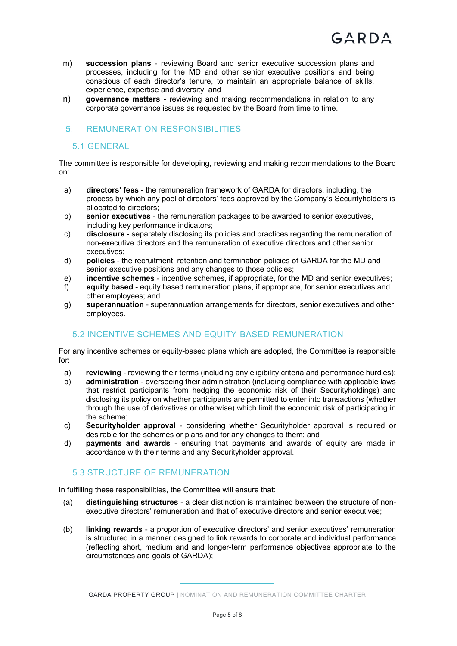- m) **succession plans** reviewing Board and senior executive succession plans and processes, including for the MD and other senior executive positions and being conscious of each director's tenure, to maintain an appropriate balance of skills, experience, expertise and diversity; and
- n) **governance matters** reviewing and making recommendations in relation to any corporate governance issues as requested by the Board from time to time.

#### **5. REMUNERATION RESPONSIBILITIES**

#### 5.1 GENERAL

The committee is responsible for developing, reviewing and making recommendations to the Board on:

- a) **directors' fees** the remuneration framework of GARDA for directors, including, the process by which any pool of directors' fees approved by the Company's Securityholders is allocated to directors;
- b) **senior executives** the remuneration packages to be awarded to senior executives, including key performance indicators;
- c) **disclosure** separately disclosing its policies and practices regarding the remuneration of non-executive directors and the remuneration of executive directors and other senior executives;
- d) **policies** the recruitment, retention and termination policies of GARDA for the MD and senior executive positions and any changes to those policies;
- e) **incentive schemes** incentive schemes, if appropriate, for the MD and senior executives;
- f) **equity based** equity based remuneration plans, if appropriate, for senior executives and other employees; and
- g) **superannuation** superannuation arrangements for directors, senior executives and other employees.

#### 5.2 INCENTIVE SCHEMES AND EQUITY-BASED REMUNERATION

For any incentive schemes or equity-based plans which are adopted, the Committee is responsible for:

- a) **reviewing** reviewing their terms (including any eligibility criteria and performance hurdles);
- b) **administration** overseeing their administration (including compliance with applicable laws that restrict participants from hedging the economic risk of their Securityholdings) and disclosing its policy on whether participants are permitted to enter into transactions (whether through the use of derivatives or otherwise) which limit the economic risk of participating in the scheme;
- c) **Securityholder approval** considering whether Securityholder approval is required or desirable for the schemes or plans and for any changes to them; and
- d) **payments and awards** ensuring that payments and awards of equity are made in accordance with their terms and any Securityholder approval.

#### 5.3 STRUCTURE OF REMUNERATION

In fulfilling these responsibilities, the Committee will ensure that:

- (a) **distinguishing structures** a clear distinction is maintained between the structure of nonexecutive directors' remuneration and that of executive directors and senior executives;
- (b) **linking rewards** a proportion of executive directors' and senior executives' remuneration is structured in a manner designed to link rewards to corporate and individual performance (reflecting short, medium and and longer-term performance objectives appropriate to the circumstances and goals of GARDA);

GARDA PROPERTY GROUP | NOMINATION AND REMUNERATION COMMITTEE CHARTER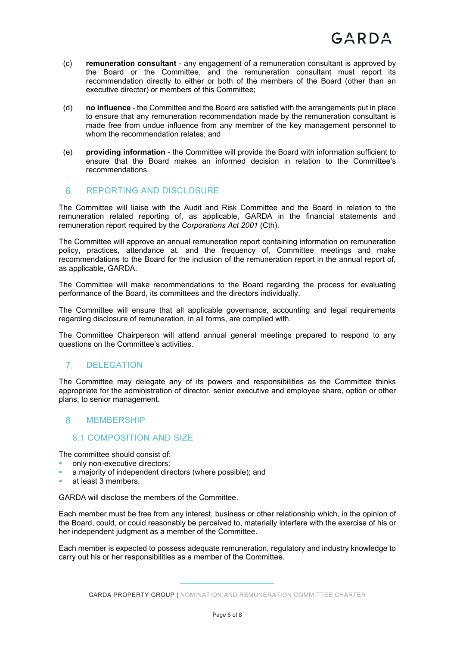- (c) **remuneration consultant** any engagement of a remuneration consultant is approved by the Board or the Committee, and the remuneration consultant must report its recommendation directly to either or both of the members of the Board (other than an executive director) or members of this Committee;
- (d) **no influence** the Committee and the Board are satisfied with the arrangements put in place to ensure that any remuneration recommendation made by the remuneration consultant is made free from undue influence from any member of the key management personnel to whom the recommendation relates; and
- (e) **providing information** the Committee will provide the Board with information sufficient to ensure that the Board makes an informed decision in relation to the Committee's recommendations.

#### 6. REPORTING AND DISCLOSURE

The Committee will liaise with the Audit and Risk Committee and the Board in relation to the remuneration related reporting of, as applicable, GARDA in the financial statements and remuneration report required by the *Corporations Act 2001* (Cth).

The Committee will approve an annual remuneration report containing information on remuneration policy, practices, attendance at, and the frequency of, Committee meetings and make recommendations to the Board for the inclusion of the remuneration report in the annual report of, as applicable, GARDA.

The Committee will make recommendations to the Board regarding the process for evaluating performance of the Board, its committees and the directors individually.

The Committee will ensure that all applicable governance, accounting and legal requirements regarding disclosure of remuneration, in all forms, are complied with.

The Committee Chairperson will attend annual general meetings prepared to respond to any questions on the Committee's activities.

#### DELEGATION

The Committee may delegate any of its powers and responsibilities as the Committee thinks appropriate for the administration of director, senior executive and employee share, option or other plans, to senior management.

#### 8 MEMBERSHIP

#### 8.1 COMPOSITION AND SIZE

The committee should consist of:

- only non-executive directors;
- a majority of independent directors (where possible); and
- at least 3 members.

GARDA will disclose the members of the Committee.

Each member must be free from any interest, business or other relationship which, in the opinion of the Board, could, or could reasonably be perceived to, materially interfere with the exercise of his or her independent judgment as a member of the Committee.

Each member is expected to possess adequate remuneration, regulatory and industry knowledge to carry out his or her responsibilities as a member of the Committee.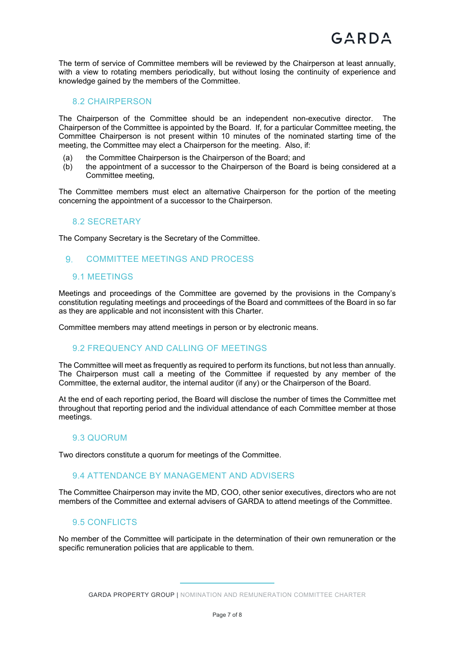The term of service of Committee members will be reviewed by the Chairperson at least annually, with a view to rotating members periodically, but without losing the continuity of experience and knowledge gained by the members of the Committee.

#### 8.2 CHAIRPERSON

The Chairperson of the Committee should be an independent non-executive director. The Chairperson of the Committee is appointed by the Board. If, for a particular Committee meeting, the Committee Chairperson is not present within 10 minutes of the nominated starting time of the meeting, the Committee may elect a Chairperson for the meeting. Also, if:

- (a) the Committee Chairperson is the Chairperson of the Board; and
- (b) the appointment of a successor to the Chairperson of the Board is being considered at a Committee meeting,

The Committee members must elect an alternative Chairperson for the portion of the meeting concerning the appointment of a successor to the Chairperson.

#### 8.2 SECRETARY

The Company Secretary is the Secretary of the Committee.

#### COMMITTEE MEETINGS AND PROCESS

#### 9.1 MEETINGS

Meetings and proceedings of the Committee are governed by the provisions in the Company's constitution regulating meetings and proceedings of the Board and committees of the Board in so far as they are applicable and not inconsistent with this Charter.

Committee members may attend meetings in person or by electronic means.

#### 9.2 FREQUENCY AND CALLING OF MEETINGS

The Committee will meet as frequently as required to perform its functions, but not less than annually. The Chairperson must call a meeting of the Committee if requested by any member of the Committee, the external auditor, the internal auditor (if any) or the Chairperson of the Board.

At the end of each reporting period, the Board will disclose the number of times the Committee met throughout that reporting period and the individual attendance of each Committee member at those meetings.

#### 9.3 QUORUM

Two directors constitute a quorum for meetings of the Committee.

#### 9.4 ATTENDANCE BY MANAGEMENT AND ADVISERS

The Committee Chairperson may invite the MD, COO, other senior executives, directors who are not members of the Committee and external advisers of GARDA to attend meetings of the Committee.

#### 9.5 CONFLICTS

No member of the Committee will participate in the determination of their own remuneration or the specific remuneration policies that are applicable to them.